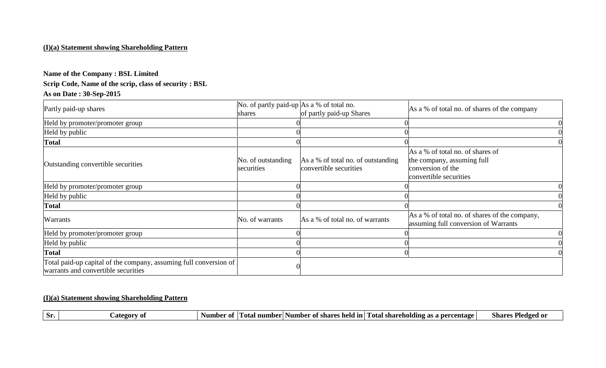#### **(I)(a) Statement showing Shareholding Pattern**

# **Name of the Company : BSL Limited**

# **Scrip Code, Name of the scrip, class of security : BSL**

# **As on Date : 30-Sep-2015**

| Partly paid-up shares                                                                                    | No. of partly paid-up $\vert$ As a % of total no.<br>shares | of partly paid-up Shares                                     | As a % of total no. of shares of the company                                                                  |  |
|----------------------------------------------------------------------------------------------------------|-------------------------------------------------------------|--------------------------------------------------------------|---------------------------------------------------------------------------------------------------------------|--|
| Held by promoter/promoter group                                                                          |                                                             |                                                              |                                                                                                               |  |
| Held by public                                                                                           |                                                             |                                                              |                                                                                                               |  |
| <b>Total</b>                                                                                             |                                                             |                                                              |                                                                                                               |  |
| Outstanding convertible securities                                                                       | No. of outstanding<br>securities                            | As a % of total no. of outstanding<br>convertible securities | As a % of total no. of shares of<br>the company, assuming full<br>conversion of the<br>convertible securities |  |
| Held by promoter/promoter group                                                                          |                                                             |                                                              |                                                                                                               |  |
| Held by public                                                                                           |                                                             |                                                              |                                                                                                               |  |
| <b>Total</b>                                                                                             |                                                             |                                                              |                                                                                                               |  |
| Warrants                                                                                                 | No. of warrants                                             | As a % of total no. of warrants                              | As a % of total no. of shares of the company,<br>assuming full conversion of Warrants                         |  |
| Held by promoter/promoter group                                                                          |                                                             |                                                              |                                                                                                               |  |
| Held by public                                                                                           |                                                             |                                                              |                                                                                                               |  |
| <b>Total</b>                                                                                             |                                                             |                                                              |                                                                                                               |  |
| Total paid-up capital of the company, assuming full conversion of<br>warrants and convertible securities |                                                             |                                                              |                                                                                                               |  |

#### **(I)(a) Statement showing Shareholding Pattern**

|  | ategor:<br>ЭF. | Number<br>-01<br>-01 | number<br>sumber<br>r otal | Fotal<br>l In<br>of share<br>held | . shareholding<br>r as a percentage | Pledged or<br>share |
|--|----------------|----------------------|----------------------------|-----------------------------------|-------------------------------------|---------------------|
|--|----------------|----------------------|----------------------------|-----------------------------------|-------------------------------------|---------------------|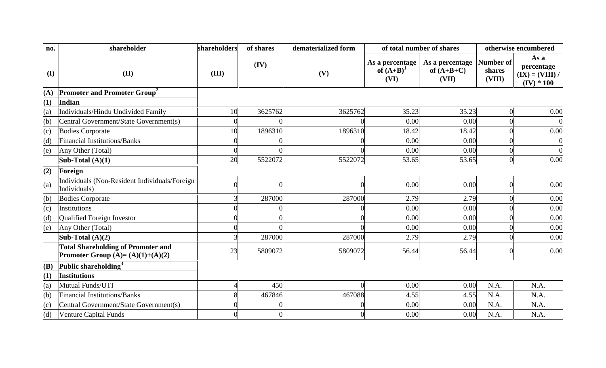| no.        | shareholder                                                                     | shareholders   | of shares | dematerialized form |                                         | of total number of shares                |                               | otherwise encumbered                                    |
|------------|---------------------------------------------------------------------------------|----------------|-----------|---------------------|-----------------------------------------|------------------------------------------|-------------------------------|---------------------------------------------------------|
| $\bf{(I)}$ | (II)                                                                            | (III)          | (IV)      | (V)                 | As a percentage<br>of $(A+B)^1$<br>(VI) | As a percentage<br>of $(A+B+C)$<br>(VII) | Number of<br>shares<br>(VIII) | As a<br>percentage<br>$(IX) = (VIII) /$<br>$(IV) * 100$ |
| (A)        | <b>Promoter and Promoter Group<sup>2</sup></b>                                  |                |           |                     |                                         |                                          |                               |                                                         |
| (1)        | Indian                                                                          |                |           |                     |                                         |                                          |                               |                                                         |
| (a)        | Individuals/Hindu Undivided Family                                              | 10             | 3625762   | 3625762             | 35.23                                   | 35.23                                    | $\overline{0}$                | 0.00                                                    |
| (b)        | Central Government/State Government(s)                                          | $\Omega$       |           |                     | 0.00                                    | 0.00                                     |                               |                                                         |
| (c)        | <b>Bodies Corporate</b>                                                         | 10             | 1896310   | 1896310             | 18.42                                   | 18.42                                    |                               | 0.00                                                    |
| (d)        | <b>Financial Institutions/Banks</b>                                             | $\overline{0}$ |           |                     | 0.00                                    | 0.00                                     |                               |                                                         |
| (e)        | Any Other (Total)                                                               | $\overline{0}$ |           |                     | 0.00                                    | 0.00                                     | $\Omega$                      |                                                         |
|            | Sub-Total $(A)(1)$                                                              | 20             | 5522072   | 5522072             | 53.65                                   | 53.65                                    | $\theta$                      | 0.00                                                    |
| (2)        | Foreign                                                                         |                |           |                     |                                         |                                          |                               |                                                         |
| (a)        | Individuals (Non-Resident Individuals/Foreign<br>Individuals)                   | $\Omega$       |           |                     | 0.00                                    | 0.00                                     | $\Omega$                      | 0.00                                                    |
| (b)        | <b>Bodies Corporate</b>                                                         | 3              | 287000    | 287000              | 2.79                                    | 2.79                                     | $\Omega$                      | 0.00                                                    |
| (c)        | Institutions                                                                    | $\overline{0}$ |           |                     | 0.00                                    | 0.00                                     |                               | 0.00                                                    |
| (d)        | Qualified Foreign Investor                                                      | $\overline{0}$ |           |                     | 0.00                                    | 0.00                                     |                               | 0.00                                                    |
| (e)        | Any Other (Total)                                                               | $\overline{0}$ |           |                     | 0.00                                    | 0.00                                     |                               | 0.00                                                    |
|            | Sub-Total $(A)(2)$                                                              | 3              | 287000    | 287000              | 2.79                                    | 2.79                                     | $\Omega$                      | 0.00                                                    |
|            | <b>Total Shareholding of Promoter and</b><br>Promoter Group $(A)=(A)(1)+(A)(2)$ | 23             | 5809072   | 5809072             | 56.44                                   | 56.44                                    | $\Omega$                      | 0.00                                                    |
| (B)        | Public shareholding <sup>3</sup>                                                |                |           |                     |                                         |                                          |                               |                                                         |
| (1)        | <b>Institutions</b>                                                             |                |           |                     |                                         |                                          |                               |                                                         |
| (a)        | Mutual Funds/UTI                                                                | Δ              | 450       |                     | 0.00                                    | 0.00                                     | N.A.                          | N.A.                                                    |
| (b)        | Financial Institutions/Banks                                                    | 8              | 467846    | 467088              | 4.55                                    | 4.55                                     | N.A.                          | N.A.                                                    |
| (c)        | Central Government/State Government(s)                                          | $\Omega$       |           |                     | 0.00                                    | 0.00                                     | N.A.                          | N.A.                                                    |
| (d)        | Venture Capital Funds                                                           | $\overline{0}$ |           |                     | 0.00                                    | 0.00                                     | N.A.                          | N.A.                                                    |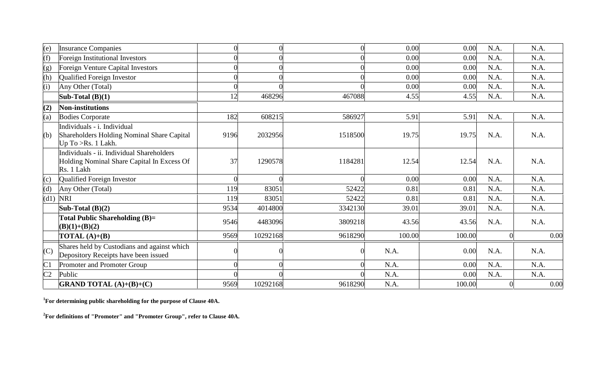| (e)            | <b>Insurance Companies</b>                                                                            |      |          |         | 0.00   | 0.00   | N.A. | N.A. |
|----------------|-------------------------------------------------------------------------------------------------------|------|----------|---------|--------|--------|------|------|
| (f)            | Foreign Institutional Investors                                                                       |      |          |         | 0.00   | 0.00   | N.A. | N.A. |
| (g)            | Foreign Venture Capital Investors                                                                     |      |          |         | 0.00   | 0.00   | N.A. | N.A. |
| (h)            | Qualified Foreign Investor                                                                            |      |          |         | 0.00   | 0.00   | N.A. | N.A. |
| (i)            | Any Other (Total)                                                                                     |      |          |         | 0.00   | 0.00   | N.A. | N.A. |
|                | Sub-Total $(B)(1)$                                                                                    | 12   | 468296   | 467088  | 4.55   | 4.55   | N.A. | N.A. |
| (2)            | <b>Non-institutions</b>                                                                               |      |          |         |        |        |      |      |
| (a)            | <b>Bodies Corporate</b>                                                                               | 182  | 608215   | 586927  | 5.91   | 5.91   | N.A. | N.A. |
| (b)            | Individuals - i. Individual<br>Shareholders Holding Nominal Share Capital<br>Up To > Rs. 1 Lakh.      | 9196 | 2032956  | 1518500 | 19.75  | 19.75  | N.A. | N.A. |
|                | Individuals - ii. Individual Shareholders<br>Holding Nominal Share Capital In Excess Of<br>Rs. 1 Lakh | 37   | 1290578  | 1184281 | 12.54  | 12.54  | N.A. | N.A. |
| (c)            | Qualified Foreign Investor                                                                            |      |          |         | 0.00   | 0.00   | N.A. | N.A. |
| (d)            | Any Other (Total)                                                                                     | 119  | 83051    | 52422   | 0.81   | 0.81   | N.A. | N.A. |
| (d1)           | <b>NRI</b>                                                                                            | 119  | 83051    | 52422   | 0.81   | 0.81   | N.A. | N.A. |
|                | Sub-Total $(B)(2)$                                                                                    | 9534 | 4014800  | 3342130 | 39.01  | 39.01  | N.A. | N.A. |
|                | <b>Total Public Shareholding (B)=</b><br>$(B)(1)+(B)(2)$                                              | 9546 | 4483096  | 3809218 | 43.56  | 43.56  | N.A. | N.A. |
|                | <b>TOTAL</b> $(A)+(B)$                                                                                | 9569 | 10292168 | 9618290 | 100.00 | 100.00 |      | 0.00 |
| (C)            | Shares held by Custodians and against which<br>Depository Receipts have been issued                   |      |          |         | N.A.   | 0.00   | N.A. | N.A. |
| C1             | Promoter and Promoter Group                                                                           |      |          |         | N.A.   | 0.00   | N.A. | N.A. |
| C <sub>2</sub> | Public                                                                                                |      |          |         | N.A.   | 0.00   | N.A. | N.A. |
|                | <b>GRAND TOTAL</b> $(A)+(B)+(C)$                                                                      | 9569 | 10292168 | 9618290 | N.A.   | 100.00 |      | 0.00 |

**<sup>1</sup>For determining public shareholding for the purpose of Clause 40A.**

**<sup>2</sup>For definitions of "Promoter" and "Promoter Group", refer to Clause 40A.**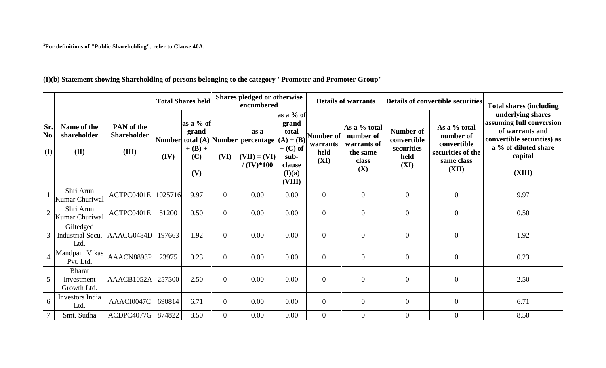**<sup>3</sup>For definitions of "Public Shareholding", refer to Clause 40A.**

# **(I)(b) Statement showing Shareholding of persons belonging to the category "Promoter and Promoter Group"**

|                   |                                            |                                           |         | <b>Total Shares held</b>                      |                | Shares pledged or otherwise<br>encumbered                                            |                                                                                                |                                       | <b>Details of warrants</b>                                           | Details of convertible securities                      | <b>Total shares (including)</b><br>underlying shares                                 |                                                                                                                        |
|-------------------|--------------------------------------------|-------------------------------------------|---------|-----------------------------------------------|----------------|--------------------------------------------------------------------------------------|------------------------------------------------------------------------------------------------|---------------------------------------|----------------------------------------------------------------------|--------------------------------------------------------|--------------------------------------------------------------------------------------|------------------------------------------------------------------------------------------------------------------------|
| Sr.<br>No.<br>(I) | Name of the<br>shareholder<br>(II)         | PAN of the<br><b>Shareholder</b><br>(III) | (IV)    | as a % of<br>grand<br>$+ (B) +$<br>(C)<br>(V) | (VI)           | as a<br>Number total (A) Number percentage<br>$\vert$ (VII) = (VI)<br>$/ (IV)^* 100$ | as a % of<br>grand<br>total<br>$(A) + (B)$<br>$+$ (C) of<br>sub-<br>clause<br>(I)(a)<br>(VIII) | Number of<br>warrants<br>held<br>(XI) | As a % total<br>number of<br>warrants of<br>the same<br>class<br>(X) | Number of<br>convertible<br>securities<br>held<br>(XI) | As a % total<br>number of<br>convertible<br>securities of the<br>same class<br>(XII) | assuming full conversion<br>of warrants and<br>convertible securities) as<br>a % of diluted share<br>capital<br>(XIII) |
|                   | Shri Arun<br>Kumar Churiwal                | ACTPC0401E                                | 1025716 | 9.97                                          | $\overline{0}$ | 0.00                                                                                 | 0.00                                                                                           | $\overline{0}$                        | $\overline{0}$                                                       | $\overline{0}$                                         | $\boldsymbol{0}$                                                                     | 9.97                                                                                                                   |
| $\overline{2}$    | Shri Arun<br>Kumar Churiwal                | ACTPC0401E                                | 51200   | 0.50                                          | $\overline{0}$ | 0.00                                                                                 | 0.00                                                                                           | $\overline{0}$                        | $\overline{0}$                                                       | $\overline{0}$                                         | $\boldsymbol{0}$                                                                     | 0.50                                                                                                                   |
|                   | Giltedged<br>Industrial Secu.<br>Ltd.      | AAACG0484D                                | 197663  | 1.92                                          | $\overline{0}$ | 0.00                                                                                 | 0.00                                                                                           | $\mathbf{0}$                          | $\overline{0}$                                                       | $\boldsymbol{0}$                                       | $\boldsymbol{0}$                                                                     | 1.92                                                                                                                   |
|                   | Mandpam Vikas<br>Pvt. Ltd.                 | AAACN8893P                                | 23975   | 0.23                                          | $\Omega$       | 0.00                                                                                 | 0.00                                                                                           | $\overline{0}$                        | $\overline{0}$                                                       | $\overline{0}$                                         | $\boldsymbol{0}$                                                                     | 0.23                                                                                                                   |
| 5                 | <b>Bharat</b><br>Investment<br>Growth Ltd. | AAACB1052A 257500                         |         | 2.50                                          | $\Omega$       | 0.00                                                                                 | 0.00                                                                                           | $\overline{0}$                        | $\overline{0}$                                                       | $\overline{0}$                                         | $\boldsymbol{0}$                                                                     | 2.50                                                                                                                   |
| 6                 | Investors India<br>Ltd.                    | AAACI0047C                                | 690814  | 6.71                                          | $\overline{0}$ | 0.00                                                                                 | 0.00                                                                                           | $\overline{0}$                        | $\overline{0}$                                                       | $\overline{0}$                                         | $\overline{0}$                                                                       | 6.71                                                                                                                   |
|                   | Smt. Sudha                                 | ACDPC4077G   874822                       |         | 8.50                                          | $\overline{0}$ | 0.00                                                                                 | 0.00                                                                                           | $\mathbf{0}$                          | $\overline{0}$                                                       | $\overline{0}$                                         | $\overline{0}$                                                                       | 8.50                                                                                                                   |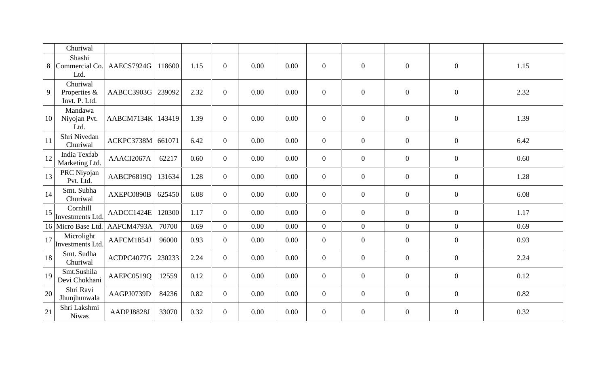|    | Churiwal                                  |            |        |      |                |      |      |                  |                |                |                  |      |
|----|-------------------------------------------|------------|--------|------|----------------|------|------|------------------|----------------|----------------|------------------|------|
| 8  | Shashi<br>Commercial Co.<br>Ltd.          | AAECS7924G | 118600 | 1.15 | $\overline{0}$ | 0.00 | 0.00 | $\overline{0}$   | $\overline{0}$ | $\mathbf{0}$   | $\mathbf{0}$     | 1.15 |
| 9  | Churiwal<br>Properties &<br>Invt. P. Ltd. | AABCC3903G | 239092 | 2.32 | $\overline{0}$ | 0.00 | 0.00 | $\overline{0}$   | $\mathbf{0}$   | $\mathbf{0}$   | $\overline{0}$   | 2.32 |
| 10 | Mandawa<br>Niyojan Pvt.<br>Ltd.           | AABCM7134K | 143419 | 1.39 | $\overline{0}$ | 0.00 | 0.00 | $\overline{0}$   | $\mathbf{0}$   | $\mathbf{0}$   | $\mathbf{0}$     | 1.39 |
| 11 | Shri Nivedan<br>Churiwal                  | ACKPC3738M | 661071 | 6.42 | $\overline{0}$ | 0.00 | 0.00 | $\overline{0}$   | $\mathbf{0}$   | $\mathbf{0}$   | $\overline{0}$   | 6.42 |
| 12 | India Texfab<br>Marketing Ltd.            | AAACI2067A | 62217  | 0.60 | $\overline{0}$ | 0.00 | 0.00 | $\overline{0}$   | $\overline{0}$ | $\mathbf{0}$   | $\overline{0}$   | 0.60 |
| 13 | PRC Niyojan<br>Pvt. Ltd.                  | AABCP6819Q | 131634 | 1.28 | $\overline{0}$ | 0.00 | 0.00 | $\boldsymbol{0}$ | $\overline{0}$ | $\mathbf{0}$   | $\overline{0}$   | 1.28 |
| 14 | Smt. Subha<br>Churiwal                    | AXEPC0890B | 625450 | 6.08 | $\overline{0}$ | 0.00 | 0.00 | $\overline{0}$   | $\mathbf{0}$   | $\mathbf{0}$   | $\boldsymbol{0}$ | 6.08 |
| 15 | Cornhill<br>Investments Ltd.              | AADCC1424E | 120300 | 1.17 | $\overline{0}$ | 0.00 | 0.00 | $\overline{0}$   | $\overline{0}$ | $\mathbf{0}$   | $\overline{0}$   | 1.17 |
|    | 16 Micro Base Ltd.                        | AAFCM4793A | 70700  | 0.69 | $\overline{0}$ | 0.00 | 0.00 | $\overline{0}$   | $\overline{0}$ | $\overline{0}$ | $\overline{0}$   | 0.69 |
| 17 | Microlight<br>Investments Ltd.            | AAFCM1854J | 96000  | 0.93 | $\overline{0}$ | 0.00 | 0.00 | $\overline{0}$   | $\mathbf{0}$   | $\mathbf{0}$   | $\mathbf{0}$     | 0.93 |
| 18 | Smt. Sudha<br>Churiwal                    | ACDPC4077G | 230233 | 2.24 | $\overline{0}$ | 0.00 | 0.00 | $\overline{0}$   | $\mathbf{0}$   | $\overline{0}$ | $\overline{0}$   | 2.24 |
| 19 | Smt.Sushila<br>Devi Chokhani              | AAEPC0519Q | 12559  | 0.12 | $\overline{0}$ | 0.00 | 0.00 | $\overline{0}$   | $\overline{0}$ | $\mathbf{0}$   | $\overline{0}$   | 0.12 |
| 20 | Shri Ravi<br>Jhunjhunwala                 | AAGPJ0739D | 84236  | 0.82 | $\overline{0}$ | 0.00 | 0.00 | $\overline{0}$   | $\overline{0}$ | $\mathbf{0}$   | $\overline{0}$   | 0.82 |
| 21 | Shri Lakshmi<br><b>Niwas</b>              | AADPJ8828J | 33070  | 0.32 | $\overline{0}$ | 0.00 | 0.00 | $\overline{0}$   | $\mathbf{0}$   | $\mathbf{0}$   | $\overline{0}$   | 0.32 |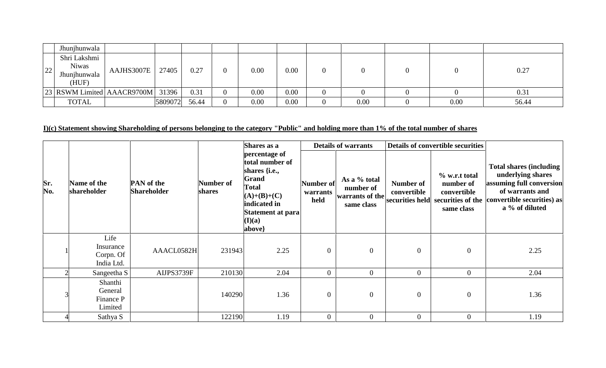|                                | Jhunjhunwala                                          |            |         |       |                  |      |      |          |      |      |       |
|--------------------------------|-------------------------------------------------------|------------|---------|-------|------------------|------|------|----------|------|------|-------|
| ാറ<br>$\overline{\phantom{a}}$ | Shri Lakshmi<br><b>Niwas</b><br>Jhunjhunwala<br>(HUF) | AAJHS3007E | 27405   | 0.27  | 0                | 0.00 | 0.00 | $\theta$ |      |      | 0.27  |
|                                | 23 RSWM Limited AAACR9700M                            |            | 31396   | 0.31  | $\theta$         | 0.00 | 0.00 | $\theta$ |      |      | 0.31  |
|                                | <b>TOTAL</b>                                          |            | 5809072 | 56.44 | $\boldsymbol{0}$ | 0.00 | 0.00 | $\theta$ | 0.00 | 0.00 | 56.44 |

# I)(c) Statement showing Shareholding of persons belonging to the category "Public" and holding more than 1% of the total number of shares

|            |                                              |                                         |                     | Shares as a                                                                                                                                          |                               | <b>Details of warrants</b>                                 |                          | Details of convertible securities                                                            |                                                                                                                                                     |  |
|------------|----------------------------------------------|-----------------------------------------|---------------------|------------------------------------------------------------------------------------------------------------------------------------------------------|-------------------------------|------------------------------------------------------------|--------------------------|----------------------------------------------------------------------------------------------|-----------------------------------------------------------------------------------------------------------------------------------------------------|--|
| Sr.<br>No. | Name of the<br>shareholder                   | <b>PAN</b> of the<br><b>Shareholder</b> | Number of<br>shares | percentage of<br>total number of<br>shares {i.e.,<br>Grand<br><b>Total</b><br>$(A)+(B)+(C)$<br>indicated in<br>Statement at para<br>(I)(a)<br>above} | Number of<br>warrants<br>held | As a % total<br>number of<br>warrants of the<br>same class | Number of<br>convertible | % w.r.t total<br>number of<br>convertible<br>securities held securities of the<br>same class | <b>Total shares (including)</b><br>underlying shares<br>assuming full conversion<br>of warrants and<br>convertible securities) as<br>a % of diluted |  |
|            | Life<br>Insurance<br>Corpn. Of<br>India Ltd. | AAACL0582H                              | 231943              | 2.25                                                                                                                                                 | $\overline{0}$                | $\overline{0}$                                             | $\overline{0}$           | $\boldsymbol{0}$                                                                             | 2.25                                                                                                                                                |  |
|            | Sangeetha S                                  | AIJPS3739F                              | 210130              | 2.04                                                                                                                                                 | $\Omega$                      | $\theta$                                                   | $\theta$                 | $\overline{0}$                                                                               | 2.04                                                                                                                                                |  |
|            | Shanthi<br>General<br>Finance P<br>Limited   |                                         | 140290              | 1.36                                                                                                                                                 | $\overline{0}$                | $\overline{0}$                                             | $\overline{0}$           | $\boldsymbol{0}$                                                                             | 1.36                                                                                                                                                |  |
|            | Sathya S                                     |                                         | 122190              | 1.19                                                                                                                                                 | $\Omega$                      | $\overline{0}$                                             | $\overline{0}$           | $\boldsymbol{0}$                                                                             | 1.19                                                                                                                                                |  |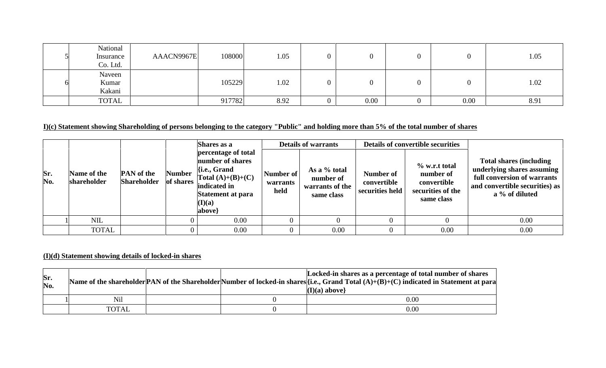| National<br>Insurance<br>Co. Ltd. | AAACN9967E | 108000 | 1.05 |      |      | 1.05 |
|-----------------------------------|------------|--------|------|------|------|------|
| Naveen<br>Kumar<br>Kakani         |            | 105229 | 1.02 |      |      | 1.02 |
| <b>TOTAL</b>                      |            | 917782 | 8.92 | 0.00 | 0.00 | 8.91 |

### I)(c) Statement showing Shareholding of persons belonging to the category "Public" and holding more than 5% of the total number of shares

|            | Shares as a                |                                         |                            | <b>Details of warrants</b>                                                                                                                                     |                               |                                                            | <b>Details of convertible securities</b>    |                                                                                 |                                                                                                                                                  |  |
|------------|----------------------------|-----------------------------------------|----------------------------|----------------------------------------------------------------------------------------------------------------------------------------------------------------|-------------------------------|------------------------------------------------------------|---------------------------------------------|---------------------------------------------------------------------------------|--------------------------------------------------------------------------------------------------------------------------------------------------|--|
| Sr.<br>No. | Name of the<br>shareholder | <b>PAN</b> of the<br><b>Shareholder</b> | <b>Number</b><br>of shares | percentage of total<br>number of shares<br>$\{$ i.e., Grand<br>Total $(A)+(B)+(C)$<br>indicated in<br>Statement at para<br>$(\mathbf{I})(\mathbf{a})$<br>above | Number of<br>warrants<br>held | As a % total<br>number of<br>warrants of the<br>same class | Number of<br>convertible<br>securities held | $\%$ w.r.t total<br>number of<br>convertible<br>securities of the<br>same class | <b>Total shares (including)</b><br>underlying shares assuming<br>full conversion of warrants<br>and convertible securities) as<br>a % of diluted |  |
|            | <b>NIL</b>                 |                                         |                            | 0.00                                                                                                                                                           |                               |                                                            | $\overline{0}$                              |                                                                                 | 0.00                                                                                                                                             |  |
|            | <b>TOTAL</b>               |                                         |                            | 0.00                                                                                                                                                           | $\theta$                      | 0.00                                                       | $\overline{0}$                              | 0.00                                                                            | 0.00                                                                                                                                             |  |

# **(I)(d) Statement showing details of locked-in shares**

| Sr.<br>No. |              |  | Locked-in shares as a percentage of total number of shares<br>Name of the shareholder PAN of the Shareholder Number of locked-in shares [{i.e., Grand Total $(A)+(B)+(C)$ indicated in Statement at para<br>$(I)(a)$ above} |
|------------|--------------|--|-----------------------------------------------------------------------------------------------------------------------------------------------------------------------------------------------------------------------------|
|            | Nil          |  | $0.00\,$                                                                                                                                                                                                                    |
|            | <b>TOTAL</b> |  | 0.00                                                                                                                                                                                                                        |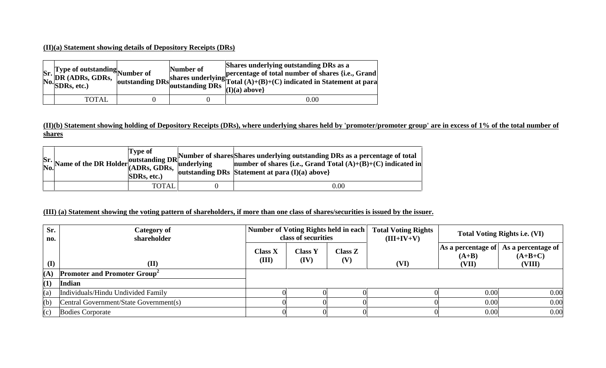#### **(II)(a) Statement showing details of Depository Receipts (DRs)**

| Sr. Type of outstanding<br>Number of<br>No. SDRs, etc.)<br>No. SDRs, etc.) |  | Shares underlying outstanding DRs as a<br>Thus, loutstanding DRs shares underlying percentage of total number of shares {i.e., Grand outstanding DRs solutstanding DRs $\overline{DRs}$ $\overline{[1](a)$ above} |  |
|----------------------------------------------------------------------------|--|-------------------------------------------------------------------------------------------------------------------------------------------------------------------------------------------------------------------|--|
| <b>TOTAL</b>                                                               |  | $0.00\,$                                                                                                                                                                                                          |  |

### (II)(b) Statement showing holding of Depository Receipts (DRs), where underlying shares held by 'promoter/promoter group' are in excess of 1% of the total number of **shares**

|  | <b>Type of</b><br>SDRs, etc.) | Sr. Name of the DR Holder of shares Mumber of shares Shares underlying outstanding DRs as a percentage of total $\begin{bmatrix} 1 & y & \mu & \nu \\ 0 & 0 & 0 \\ 0 & 0 & 0 \end{bmatrix}$ (ADRs, GDRs, $\begin{bmatrix} 1 & y & \mu & \nu \\ 0 & 0 & 0 \\ 0 & 0 & 0 \end{bmatrix}$ and $\begin{bmatrix$<br>outstanding DRs Statement at para $(I)(a)$ above |  |
|--|-------------------------------|---------------------------------------------------------------------------------------------------------------------------------------------------------------------------------------------------------------------------------------------------------------------------------------------------------------------------------------------------------------|--|
|  | <b>TOTAL</b>                  | $0.00\,$                                                                                                                                                                                                                                                                                                                                                      |  |

#### (III) (a) Statement showing the voting pattern of shareholders, if more than one class of shares/securities is issued by the issuer.

| Sr.<br>no.   | Number of Voting Rights held in each<br>Category of<br>class of securities<br>shareholder |                  | <b>Total Voting Rights</b><br>$(III+IV+V)$ | <b>Total Voting Rights i.e. (VI)</b> |      |                                        |                                           |
|--------------|-------------------------------------------------------------------------------------------|------------------|--------------------------------------------|--------------------------------------|------|----------------------------------------|-------------------------------------------|
| $\mathbf{I}$ | (II)                                                                                      | Class X<br>(III) | <b>Class Y</b><br>(IV)                     | Class Z<br>(V)                       | (VI) | As a percentage of<br>$(A+B)$<br>(VII) | As a percentage of<br>$(A+B+C)$<br>(VIII) |
| (A)          | <b>Promoter and Promoter Group</b> <sup>2</sup>                                           |                  |                                            |                                      |      |                                        |                                           |
| (1)          | Indian                                                                                    |                  |                                            |                                      |      |                                        |                                           |
| (a)          | Individuals/Hindu Undivided Family                                                        |                  |                                            |                                      |      | 0.00                                   | 0.00                                      |
| (b)          | Central Government/State Government(s)                                                    |                  |                                            |                                      |      | 0.00                                   | 0.00                                      |
| (c)          | <b>Bodies Corporate</b>                                                                   |                  |                                            |                                      |      | 0.00                                   | 0.00                                      |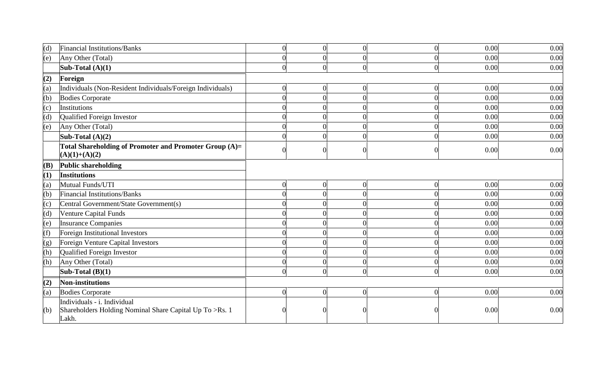| (d)              | <b>Financial Institutions/Banks</b>                                                    |  | $\cap$           | 0.00 | 0.00 |
|------------------|----------------------------------------------------------------------------------------|--|------------------|------|------|
| (e)              | Any Other (Total)                                                                      |  |                  | 0.00 | 0.00 |
|                  | Sub-Total $(A)(1)$                                                                     |  |                  | 0.00 | 0.00 |
| (2)              | Foreign                                                                                |  |                  |      |      |
| (a)              | Individuals (Non-Resident Individuals/Foreign Individuals)                             |  |                  | 0.00 | 0.00 |
| (b)              | <b>Bodies Corporate</b>                                                                |  |                  | 0.00 | 0.00 |
| (c)              | <b>Institutions</b>                                                                    |  |                  | 0.00 | 0.00 |
| (d)              | Qualified Foreign Investor                                                             |  |                  | 0.00 | 0.00 |
| (e)              | Any Other (Total)                                                                      |  |                  | 0.00 | 0.00 |
|                  | Sub-Total $(A)(2)$                                                                     |  |                  | 0.00 | 0.00 |
|                  | Total Shareholding of Promoter and Promoter Group (A)=<br>$(A)(1)+(A)(2)$              |  |                  | 0.00 | 0.00 |
| (B)              | <b>Public shareholding</b>                                                             |  |                  |      |      |
| (1)              | <b>Institutions</b>                                                                    |  |                  |      |      |
| (a)              | Mutual Funds/UTI                                                                       |  | $\boldsymbol{0}$ | 0.00 | 0.00 |
| (b)              | <b>Financial Institutions/Banks</b>                                                    |  |                  | 0.00 | 0.00 |
| (c)              | Central Government/State Government(s)                                                 |  |                  | 0.00 | 0.00 |
| (d)              | Venture Capital Funds                                                                  |  |                  | 0.00 | 0.00 |
| (e)              | <b>Insurance Companies</b>                                                             |  |                  | 0.00 | 0.00 |
| $\overline{f}$   | Foreign Institutional Investors                                                        |  |                  | 0.00 | 0.00 |
| $\overline{(g)}$ | Foreign Venture Capital Investors                                                      |  |                  | 0.00 | 0.00 |
| (h)              | Qualified Foreign Investor                                                             |  |                  | 0.00 | 0.00 |
| (h)              | Any Other (Total)                                                                      |  |                  | 0.00 | 0.00 |
|                  | Sub-Total $(B)(1)$                                                                     |  | $\Omega$         | 0.00 | 0.00 |
| (2)              | <b>Non-institutions</b>                                                                |  |                  |      |      |
| (a)              | <b>Bodies Corporate</b>                                                                |  | $\Omega$         | 0.00 | 0.00 |
| (b)              | Individuals - i. Individual<br>Shareholders Holding Nominal Share Capital Up To >Rs. 1 |  |                  | 0.00 | 0.00 |
|                  | Lakh.                                                                                  |  |                  |      |      |